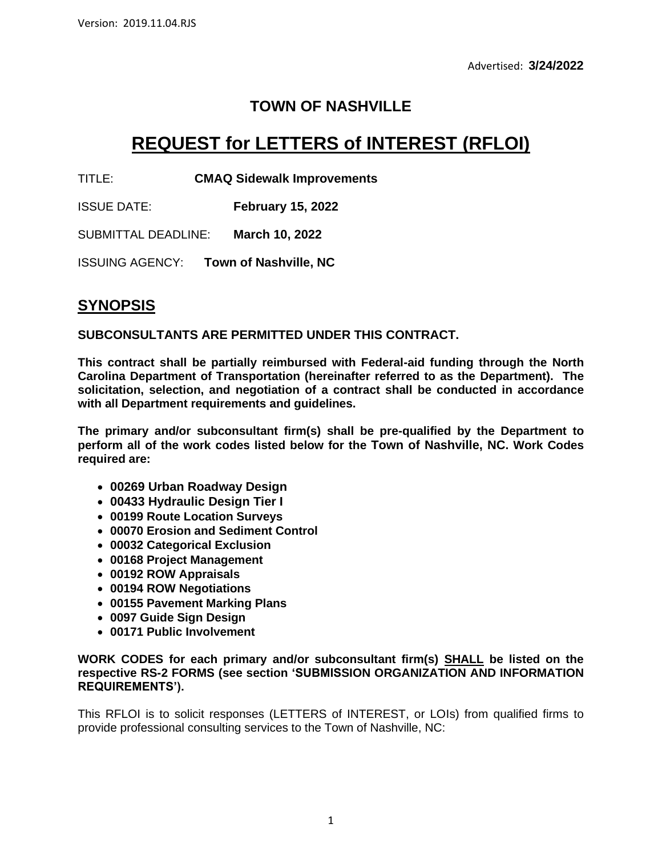## **TOWN OF NASHVILLE**

# **REQUEST for LETTERS of INTEREST (RFLOI)**

TITLE: **CMAQ Sidewalk Improvements**

ISSUE DATE: **February 15, 2022**

SUBMITTAL DEADLINE: **March 10, 2022**

ISSUING AGENCY: **Town of Nashville, NC**

## **SYNOPSIS**

**SUBCONSULTANTS ARE PERMITTED UNDER THIS CONTRACT.**

**This contract shall be partially reimbursed with Federal-aid funding through the North Carolina Department of Transportation (hereinafter referred to as the Department). The solicitation, selection, and negotiation of a contract shall be conducted in accordance with all Department requirements and guidelines.**

**The primary and/or subconsultant firm(s) shall be pre-qualified by the Department to perform all of the work codes listed below for the Town of Nashville, NC. Work Codes required are:**

- **00269 Urban Roadway Design**
- **00433 Hydraulic Design Tier I**
- **00199 Route Location Surveys**
- **00070 Erosion and Sediment Control**
- **00032 Categorical Exclusion**
- **00168 Project Management**
- **00192 ROW Appraisals**
- **00194 ROW Negotiations**
- **00155 Pavement Marking Plans**
- **0097 Guide Sign Design**
- **00171 Public Involvement**

#### **WORK CODES for each primary and/or subconsultant firm(s) SHALL be listed on the respective RS-2 FORMS (see section 'SUBMISSION ORGANIZATION AND INFORMATION REQUIREMENTS').**

This RFLOI is to solicit responses (LETTERS of INTEREST, or LOIs) from qualified firms to provide professional consulting services to the Town of Nashville, NC: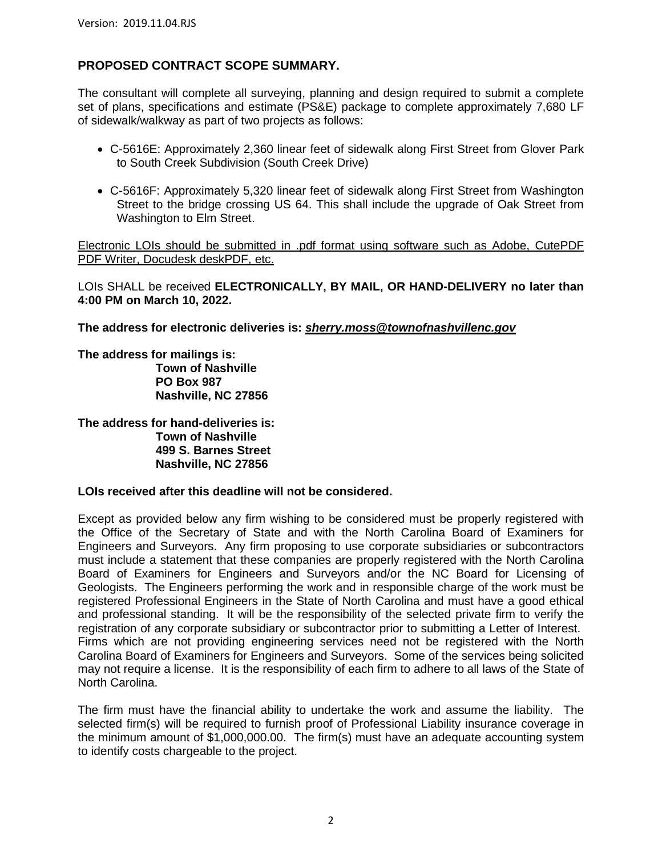### **PROPOSED CONTRACT SCOPE SUMMARY.**

The consultant will complete all surveying, planning and design required to submit a complete set of plans, specifications and estimate (PS&E) package to complete approximately 7,680 LF of sidewalk/walkway as part of two projects as follows:

- C-5616E: Approximately 2,360 linear feet of sidewalk along First Street from Glover Park to South Creek Subdivision (South Creek Drive)
- C-5616F: Approximately 5,320 linear feet of sidewalk along First Street from Washington Street to the bridge crossing US 64. This shall include the upgrade of Oak Street from Washington to Elm Street.

Electronic LOIs should be submitted in .pdf format using software such as Adobe, CutePDF PDF Writer, Docudesk deskPDF, etc.

LOIs SHALL be received **ELECTRONICALLY, BY MAIL, OR HAND-DELIVERY no later than 4:00 PM on March 10, 2022.**

**The address for electronic deliveries is:** *[sherry.moss@townofnashvillenc.gov](mailto:sherry.moss@townofnashvillenc.gov)*

**The address for mailings is:**

**Town of Nashville PO Box 987 Nashville, NC 27856**

**The address for hand-deliveries is: Town of Nashville 499 S. Barnes Street Nashville, NC 27856**

#### **LOIs received after this deadline will not be considered.**

Except as provided below any firm wishing to be considered must be properly registered with the Office of the Secretary of State and with the North Carolina Board of Examiners for Engineers and Surveyors. Any firm proposing to use corporate subsidiaries or subcontractors must include a statement that these companies are properly registered with the North Carolina Board of Examiners for Engineers and Surveyors and/or the NC Board for Licensing of Geologists. The Engineers performing the work and in responsible charge of the work must be registered Professional Engineers in the State of North Carolina and must have a good ethical and professional standing. It will be the responsibility of the selected private firm to verify the registration of any corporate subsidiary or subcontractor prior to submitting a Letter of Interest. Firms which are not providing engineering services need not be registered with the North Carolina Board of Examiners for Engineers and Surveyors. Some of the services being solicited may not require a license. It is the responsibility of each firm to adhere to all laws of the State of North Carolina.

The firm must have the financial ability to undertake the work and assume the liability. The selected firm(s) will be required to furnish proof of Professional Liability insurance coverage in the minimum amount of \$1,000,000.00. The firm(s) must have an adequate accounting system to identify costs chargeable to the project.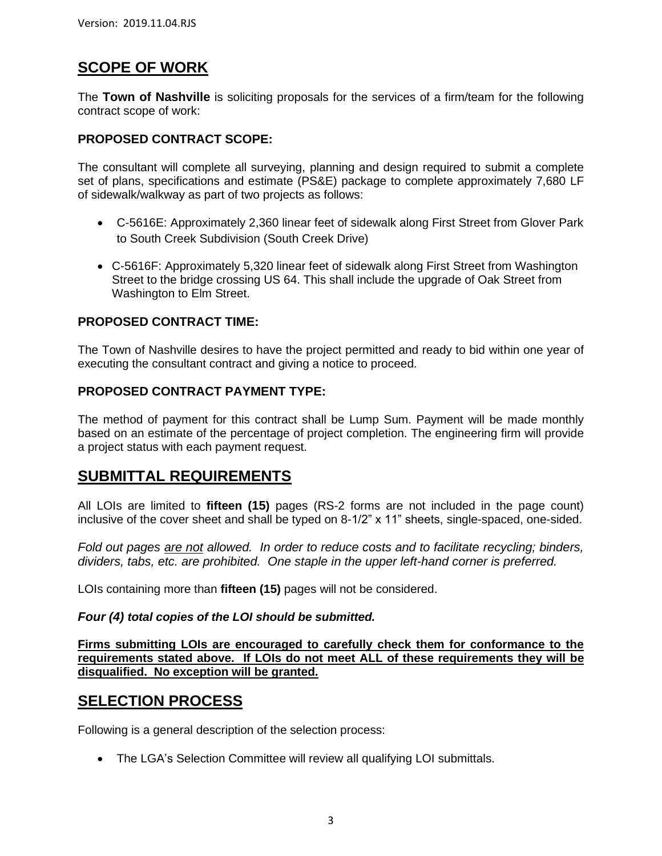## **SCOPE OF WORK**

The **Town of Nashville** is soliciting proposals for the services of a firm/team for the following contract scope of work:

### **PROPOSED CONTRACT SCOPE:**

The consultant will complete all surveying, planning and design required to submit a complete set of plans, specifications and estimate (PS&E) package to complete approximately 7,680 LF of sidewalk/walkway as part of two projects as follows:

- C-5616E: Approximately 2,360 linear feet of sidewalk along First Street from Glover Park to South Creek Subdivision (South Creek Drive)
- C-5616F: Approximately 5,320 linear feet of sidewalk along First Street from Washington Street to the bridge crossing US 64. This shall include the upgrade of Oak Street from Washington to Elm Street.

### **PROPOSED CONTRACT TIME:**

The Town of Nashville desires to have the project permitted and ready to bid within one year of executing the consultant contract and giving a notice to proceed.

### **PROPOSED CONTRACT PAYMENT TYPE:**

The method of payment for this contract shall be Lump Sum. Payment will be made monthly based on an estimate of the percentage of project completion. The engineering firm will provide a project status with each payment request.

### **SUBMITTAL REQUIREMENTS**

All LOIs are limited to **fifteen (15)** pages (RS-2 forms are not included in the page count) inclusive of the cover sheet and shall be typed on 8-1/2" x 11" sheets, single-spaced, one-sided.

*Fold out pages are not allowed. In order to reduce costs and to facilitate recycling; binders, dividers, tabs, etc. are prohibited. One staple in the upper left-hand corner is preferred.*

LOIs containing more than **fifteen (15)** pages will not be considered.

#### *Four (4) total copies of the LOI should be submitted.*

**Firms submitting LOIs are encouraged to carefully check them for conformance to the requirements stated above. If LOIs do not meet ALL of these requirements they will be disqualified. No exception will be granted.**

### **SELECTION PROCESS**

Following is a general description of the selection process:

• The LGA's Selection Committee will review all qualifying LOI submittals.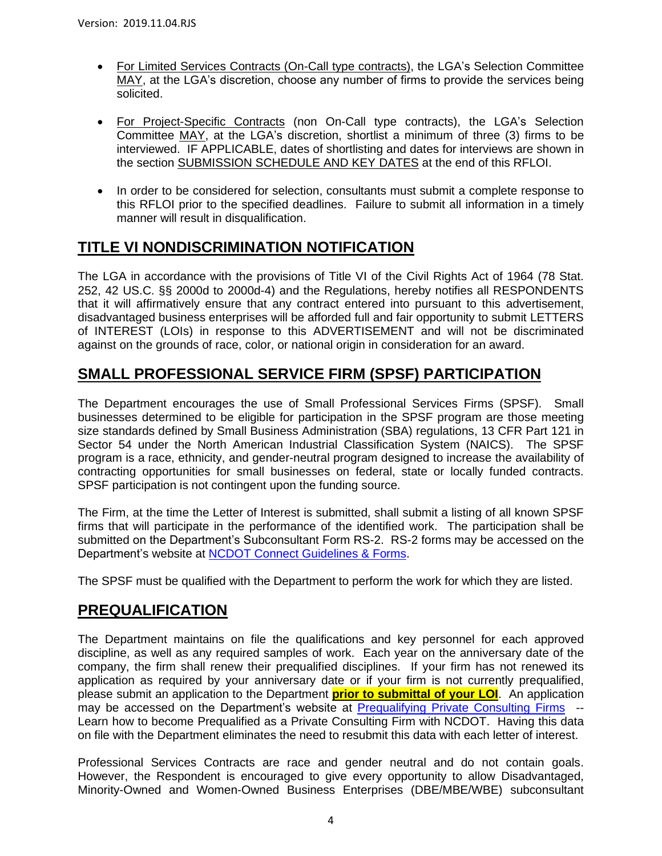- For Limited Services Contracts (On-Call type contracts), the LGA's Selection Committee MAY, at the LGA's discretion, choose any number of firms to provide the services being solicited.
- For Project-Specific Contracts (non On-Call type contracts), the LGA's Selection Committee MAY, at the LGA's discretion, shortlist a minimum of three (3) firms to be interviewed. IF APPLICABLE, dates of shortlisting and dates for interviews are shown in the section SUBMISSION SCHEDULE AND KEY DATES at the end of this RFLOI.
- In order to be considered for selection, consultants must submit a complete response to this RFLOI prior to the specified deadlines. Failure to submit all information in a timely manner will result in disqualification.

## **TITLE VI NONDISCRIMINATION NOTIFICATION**

The LGA in accordance with the provisions of Title VI of the Civil Rights Act of 1964 (78 Stat. 252, 42 US.C. §§ 2000d to 2000d-4) and the Regulations, hereby notifies all RESPONDENTS that it will affirmatively ensure that any contract entered into pursuant to this advertisement, disadvantaged business enterprises will be afforded full and fair opportunity to submit LETTERS of INTEREST (LOIs) in response to this ADVERTISEMENT and will not be discriminated against on the grounds of race, color, or national origin in consideration for an award.

## **SMALL PROFESSIONAL SERVICE FIRM (SPSF) PARTICIPATION**

The Department encourages the use of Small Professional Services Firms (SPSF). Small businesses determined to be eligible for participation in the SPSF program are those meeting size standards defined by Small Business Administration (SBA) regulations, 13 CFR Part 121 in Sector 54 under the North American Industrial Classification System (NAICS). The SPSF program is a race, ethnicity, and gender-neutral program designed to increase the availability of contracting opportunities for small businesses on federal, state or locally funded contracts. SPSF participation is not contingent upon the funding source.

The Firm, at the time the Letter of Interest is submitted, shall submit a listing of all known SPSF firms that will participate in the performance of the identified work. The participation shall be submitted on the Department's Subconsultant Form RS-2. RS-2 forms may be accessed on the Department's website at [NCDOT Connect Guidelines & Forms.](https://connect.ncdot.gov/business/consultants/Pages/Guidelines-Forms.aspx)

The SPSF must be qualified with the Department to perform the work for which they are listed.

## **PREQUALIFICATION**

The Department maintains on file the qualifications and key personnel for each approved discipline, as well as any required samples of work. Each year on the anniversary date of the company, the firm shall renew their prequalified disciplines. If your firm has not renewed its application as required by your anniversary date or if your firm is not currently prequalified, please submit an application to the Department **prior to submittal of your LOI**. An application may be accessed on the Department's website at [Prequalifying Private Consulting Firms](https://connect.ncdot.gov/business/Prequal/Pages/Private-Consulting-Firm.aspx) --Learn how to become Prequalified as a Private Consulting Firm with NCDOT. Having this data on file with the Department eliminates the need to resubmit this data with each letter of interest.

Professional Services Contracts are race and gender neutral and do not contain goals. However, the Respondent is encouraged to give every opportunity to allow Disadvantaged, Minority-Owned and Women-Owned Business Enterprises (DBE/MBE/WBE) subconsultant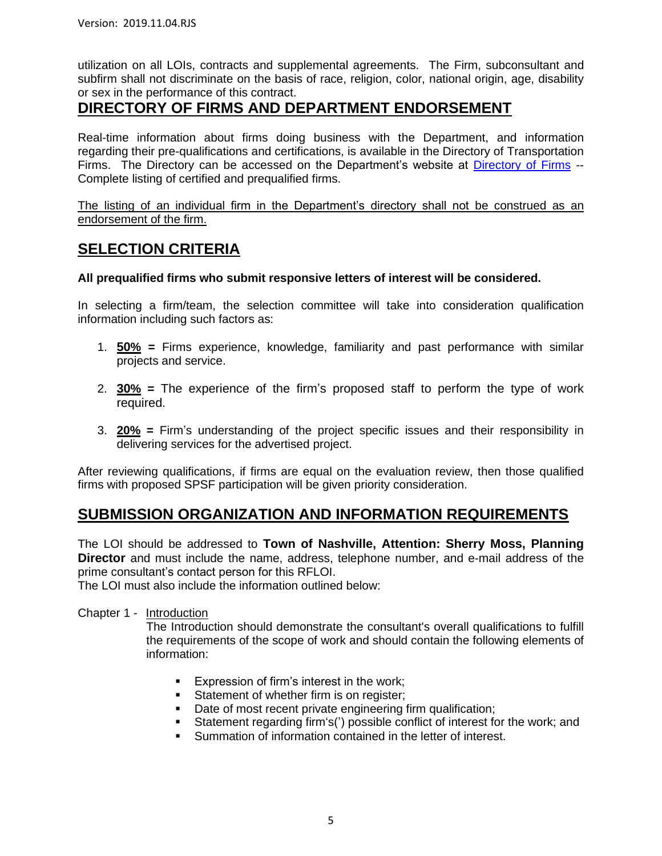utilization on all LOIs, contracts and supplemental agreements. The Firm, subconsultant and subfirm shall not discriminate on the basis of race, religion, color, national origin, age, disability or sex in the performance of this contract.

### **DIRECTORY OF FIRMS AND DEPARTMENT ENDORSEMENT**

Real-time information about firms doing business with the Department, and information regarding their pre-qualifications and certifications, is available in the Directory of Transportation Firms. The Directory can be accessed on the Department's website at [Directory of Firms](https://www.ebs.nc.gov/VendorDirectory/default.html) --Complete listing of certified and prequalified firms.

The listing of an individual firm in the Department's directory shall not be construed as an endorsement of the firm.

### **SELECTION CRITERIA**

#### **All prequalified firms who submit responsive letters of interest will be considered.**

In selecting a firm/team, the selection committee will take into consideration qualification information including such factors as:

- 1. **50% =** Firms experience, knowledge, familiarity and past performance with similar projects and service.
- 2. **30% =** The experience of the firm's proposed staff to perform the type of work required.
- 3. **20% =** Firm's understanding of the project specific issues and their responsibility in delivering services for the advertised project.

After reviewing qualifications, if firms are equal on the evaluation review, then those qualified firms with proposed SPSF participation will be given priority consideration.

### **SUBMISSION ORGANIZATION AND INFORMATION REQUIREMENTS**

The LOI should be addressed to **Town of Nashville, Attention: Sherry Moss, Planning Director** and must include the name, address, telephone number, and e-mail address of the prime consultant's contact person for this RFLOI.

The LOI must also include the information outlined below:

#### Chapter 1 - Introduction

The Introduction should demonstrate the consultant's overall qualifications to fulfill the requirements of the scope of work and should contain the following elements of information:

- Expression of firm's interest in the work;
- **EXEC** Statement of whether firm is on register;
- Date of most recent private engineering firm qualification;
- Statement regarding firm's(') possible conflict of interest for the work; and
- Summation of information contained in the letter of interest.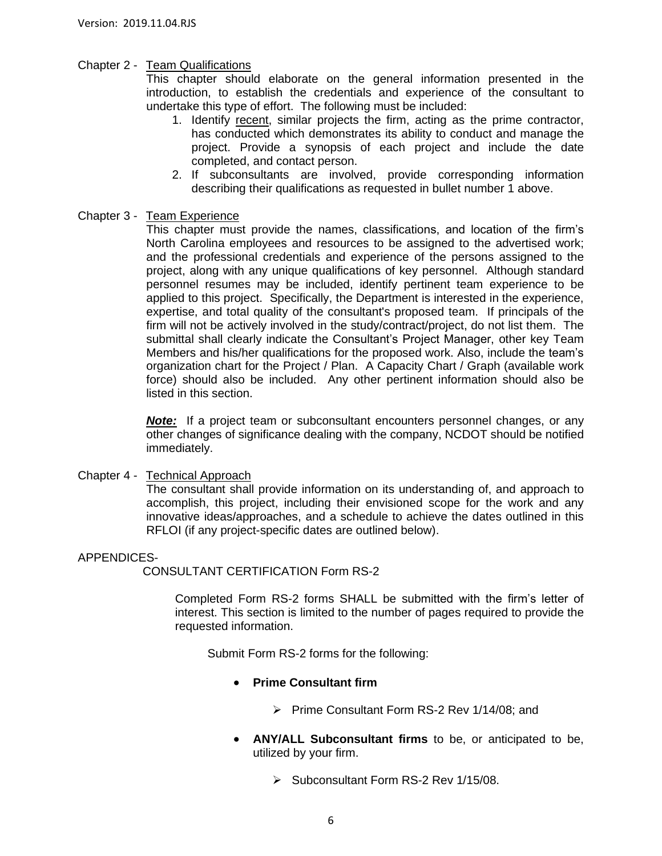#### Chapter 2 - Team Qualifications

This chapter should elaborate on the general information presented in the introduction, to establish the credentials and experience of the consultant to undertake this type of effort. The following must be included:

- 1. Identify recent, similar projects the firm, acting as the prime contractor, has conducted which demonstrates its ability to conduct and manage the project. Provide a synopsis of each project and include the date completed, and contact person.
- 2. If subconsultants are involved, provide corresponding information describing their qualifications as requested in bullet number 1 above.

#### Chapter 3 - Team Experience

This chapter must provide the names, classifications, and location of the firm's North Carolina employees and resources to be assigned to the advertised work; and the professional credentials and experience of the persons assigned to the project, along with any unique qualifications of key personnel. Although standard personnel resumes may be included, identify pertinent team experience to be applied to this project. Specifically, the Department is interested in the experience, expertise, and total quality of the consultant's proposed team. If principals of the firm will not be actively involved in the study/contract/project, do not list them. The submittal shall clearly indicate the Consultant's Project Manager, other key Team Members and his/her qualifications for the proposed work. Also, include the team's organization chart for the Project / Plan. A Capacity Chart / Graph (available work force) should also be included. Any other pertinent information should also be listed in this section.

*Note:* If a project team or subconsultant encounters personnel changes, or any other changes of significance dealing with the company, NCDOT should be notified immediately.

#### Chapter 4 - Technical Approach

The consultant shall provide information on its understanding of, and approach to accomplish, this project, including their envisioned scope for the work and any innovative ideas/approaches, and a schedule to achieve the dates outlined in this RFLOI (if any project-specific dates are outlined below).

#### APPENDICES-

CONSULTANT CERTIFICATION Form RS-2

Completed Form RS-2 forms SHALL be submitted with the firm's letter of interest. This section is limited to the number of pages required to provide the requested information.

Submit Form RS-2 forms for the following:

#### • **Prime Consultant firm**

- ➢ Prime Consultant Form RS-2 Rev 1/14/08; and
- **ANY/ALL Subconsultant firms** to be, or anticipated to be, utilized by your firm.
	- ➢ Subconsultant Form RS-2 Rev 1/15/08.